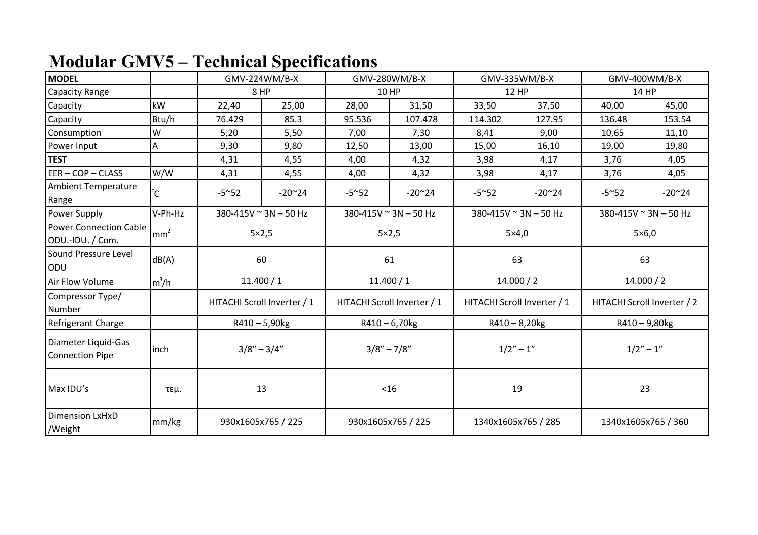## **Modular GMV5 – Technical Specifications**

| <b>MODEL</b>                                      |                 | GMV-224WM/B-X      |                             | GMV-280WM/B-X   |                             | GMV-335WM/B-X       |                             | GMV-400WM/B-X         |                             |  |
|---------------------------------------------------|-----------------|--------------------|-----------------------------|-----------------|-----------------------------|---------------------|-----------------------------|-----------------------|-----------------------------|--|
| Capacity Range                                    |                 | 8 HP               |                             |                 | <b>10 HP</b>                |                     | <b>12 HP</b>                |                       | 14 HP                       |  |
| Capacity                                          | kW              | 22,40              | 25,00                       | 28,00           | 31,50                       | 33,50               | 37,50                       | 40,00                 | 45,00                       |  |
| Capacity                                          | Btu/h           | 76.429             | 85.3                        | 95.536          | 107.478                     | 114.302             | 127.95                      | 136.48                | 153.54                      |  |
| Consumption                                       | W               | 5,20               | 5,50                        | 7,00            | 7,30                        | 8,41                | 9,00                        | 10,65                 | 11,10                       |  |
| Power Input                                       | А               | 9,30               | 9,80                        | 12,50           | 13,00                       | 15,00               | 16,10                       | 19,00                 | 19,80                       |  |
| <b>TEST</b>                                       |                 | 4,31               | 4,55                        | 4,00            | 4,32                        | 3,98                | 4,17                        | 3,76                  | 4,05                        |  |
| $EER - COP - CLASS$                               | W/W             | 4,31               | 4,55                        | 4,00            | 4,32                        | 3,98                | 4,17                        | 3,76                  | 4,05                        |  |
| <b>Ambient Temperature</b><br>Range               | °C              | $-5^{\sim}52$      | $-20^{\circ}24$             | $-5^{\sim}52$   | $-20^{\sim}24$              | $-5^{\sim}52$       | $-20^{\sim}24$              | $-5^{\sim}52$         | $-20^{\sim}24$              |  |
| Power Supply                                      | V-Ph-Hz         |                    | 380-415V ~ 3N - 50 Hz       |                 | 380-415V ~ 3N - 50 Hz       |                     | 380-415V ~ 3N - 50 Hz       | 380-415V ~ 3N - 50 Hz |                             |  |
| <b>Power Connection Cable</b><br>ODU.-IDU. / Com. | mm <sup>2</sup> | $5\times2,5$       |                             | $5\times2,5$    |                             | $5\times4,0$        |                             | $5\times6,0$          |                             |  |
| Sound Pressure Level<br>ODU                       | dB(A)           | 60                 |                             | 61              |                             | 63                  |                             | 63                    |                             |  |
| Air Flow Volume                                   | $m^3/h$         | 11.400 / 1         |                             | 11.400 / 1      |                             | 14.000 / 2          |                             | 14.000 / 2            |                             |  |
| Compressor Type/<br>Number                        |                 |                    | HITACHI Scroll Inverter / 1 |                 | HITACHI Scroll Inverter / 1 |                     | HITACHI Scroll Inverter / 1 |                       | HITACHI Scroll Inverter / 2 |  |
| Refrigerant Charge                                |                 |                    | $R410 - 5,90$ <sub>kg</sub> |                 | $R410 - 6,70$ kg            |                     | $R410 - 8,20$ kg            | R410-9,80kg           |                             |  |
| Diameter Liquid-Gas<br><b>Connection Pipe</b>     | inch            | $3/8'' - 3/4''$    |                             | $3/8'' - 7/8''$ |                             | $1/2" - 1"$         |                             | $1/2" - 1"$           |                             |  |
| Max IDU's                                         | τεμ.            | 13                 |                             | < 16            |                             | 19                  |                             | 23                    |                             |  |
| <b>Dimension LxHxD</b><br>/Weight                 | mm/kg           | 930x1605x765 / 225 |                             |                 | 930x1605x765 / 225          | 1340x1605x765 / 285 |                             | 1340x1605x765 / 360   |                             |  |